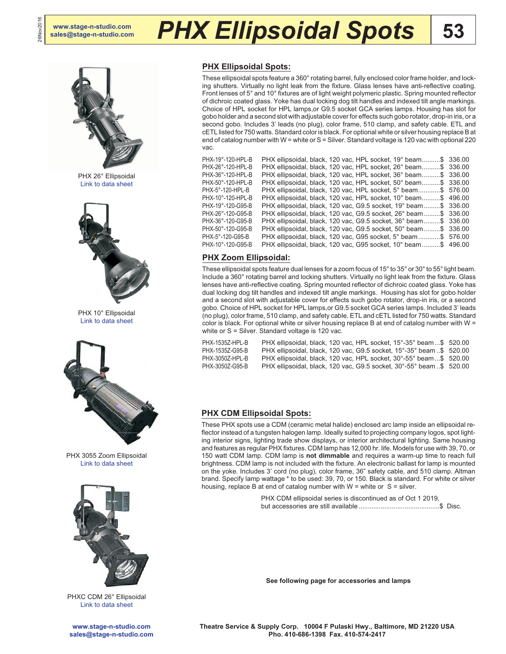26Nov2016

26Nov2016

# **[sales@stage-n-studio.com](mailto:sales@stage-n-studio.com)** *PHX Ellipsoidal Spots*



PHX 26° Ellipsoidal [Link to data sheet](http://altmanlighting.com/wp-content/uploads/2016/04/PHXERS.pdf)



PHX 10° Ellipsoidal [Link to data sheet](http://altmanlighting.com/wp-content/uploads/2016/04/PHXERS.pdf)



PHX 3055 Zoom Ellipsoidal [Link to data sheet](http://altmanlighting.com/wp-content/uploads/2016/04/PHXZoom.pdf)



PHXC CDM 26° Ellipsoidal [Link to data sheet](http://altmanlighting.com/wp-content/uploads/2016/04/PHXCDM.pdf)

## **PHX Ellipsoidal Spots:**

These ellipsoidal spots feature a 360° rotating barrel, fully enclosed color frame holder, and locking shutters. Virtually no light leak from the fixture. Glass lenses have anti-reflective coating. Front lenses of 5° and 10° fixtures are of light weight polymeric plastic. Spring mounted reflector of dichroic coated glass. Yoke has dual locking dog tilt handles and indexed tilt angle markings. Choice of HPL socket for HPL lamps,or G9.5 socket GCA series lamps. Housing has slot for gobo holder and a second slot with adjustable cover for effects such gobo rotator, drop-in iris, or a second gobo. Includes 3' leads (no plug), color frame, 510 clamp, and safety cable. ETL and cETL listed for 750 watts. Standard color is black. For optional white or silver housing replace B at end of catalog number with W = white or S = Silver. Standard voltage is 120 vac with optional 220 vac.

**53**

PHX-19°-120-HPL-B PHX ellipsoidal, black, 120 vac, HPL socket, 19° beam..........\$ 336.00 PHX-26°-120-HPL-B PHX ellipsoidal, black, 120 vac, HPL socket, 26° beam..........\$ 336.00 PHX ellipsoidal, black, 120 vac, HPL socket, 36° beam..........\$ 336.00 PHX-50°-120-HPL-B PHX ellipsoidal, black, 120 vac, HPL socket, 50° beam..........\$ 336.00 PHX ellipsoidal, black, 120 vac, HPL socket, 5° beam............\$ 576.00 PHX-10°-120-HPL-B PHX ellipsoidal, black, 120 vac, HPL socket, 10° beam..........\$ 496.00 PHX ellipsoidal, black, 120 vac, G9.5 socket, 19° beam.........\$ 336.00 PHX-26°-120-G95-B PHX ellipsoidal, black, 120 vac, G9.5 socket, 26° beam.........\$ 336.00 PHX ellipsoidal, black, 120 vac, G9.5 socket, 36° beam.........\$ 336.00 PHX-50°-120-G95-B PHX ellipsoidal, black, 120 vac, G9.5 socket, 50° beam.........\$ 336.00 PHX-5°-120-G95-B PHX ellipsoidal, black, 120 vac, G95 socket, 5° beam............\$ 576.00 PHX ellipsoidal, black, 120 vac, G95 socket, 10° beam..........\$ 496.00

#### **PHX Zoom Ellipsoidal:**

These ellipsoidal spots feature dual lenses for a zoom focus of 15° to 35° or 30° to 55° light beam. Include a 360° rotating barrel and locking shutters. Virtually no light leak from the fixture. Glass lenses have anti-reflective coating. Spring mounted reflector of dichroic coated glass. Yoke has dual locking dog tilt handles and indexed tilt angle markings. Housing has slot for gobo holder and a second slot with adjustable cover for effects such gobo rotator, drop-in iris, or a second gobo. Choice of HPL socket for HPL lamps,or G9.5 socket GCA series lamps. Included 3' leads (no plug), color frame, 510 clamp, and safety cable. ETL and cETL listed for 750 watts. Standard color is black. For optional white or silver housing replace B at end of catalog number with W = white or S = Silver. Standard voltage is 120 vac.

PHX-1535Z-HPL-B PHX ellipsoidal, black, 120 vac, HPL socket, 15°-35° beam...\$ 520.00 PHX-1535Z-G95-B PHX ellipsoidal, black, 120 vac, G9.5 socket, 15°-35° beam ..\$ 520.00 PHX ellipsoidal, black, 120 vac, HPL socket, 30°-55° beam...\$ 520.00 PHX-3050Z-G95-B PHX ellipsoidal, black, 120 vac, G9.5 socket, 30°-55° beam ..\$ 520.00

### **PHX CDM Ellipsoidal Spots:**

These PHX spots use a CDM (ceramic metal halide) enclosed arc lamp inside an ellipsoidal reflector instead of a tungsten halogen lamp. Ideally suited to projecting company logos, spot lighting interior signs, lighting trade show displays, or interior architectural lighting. Same housing and features as regular PHX fixtures. CDM lamp has 12,000 hr. life. Models for use with 39, 70, or 150 watt CDM lamp. CDM lamp is **not dimmable** and requires a warm-up time to reach full brightness. CDM lamp is not included with the fixture. An electronic ballast for lamp is mounted on the yoke. Includes 3' cord (no plug), color frame, 36" safety cable, and 510 clamp. Altman brand. Specify lamp wattage \* to be used: 39, 70, or 150. Black is standard. For white or silver housing, replace B at end of catalog number with  $W =$  white or  $S =$  silver.

> PHX CDM ellipsoidal series is discontinued as of Oct 1 2019, but accessories are still available ............................................\$ Disc.

**See following page for accessories and lamps**